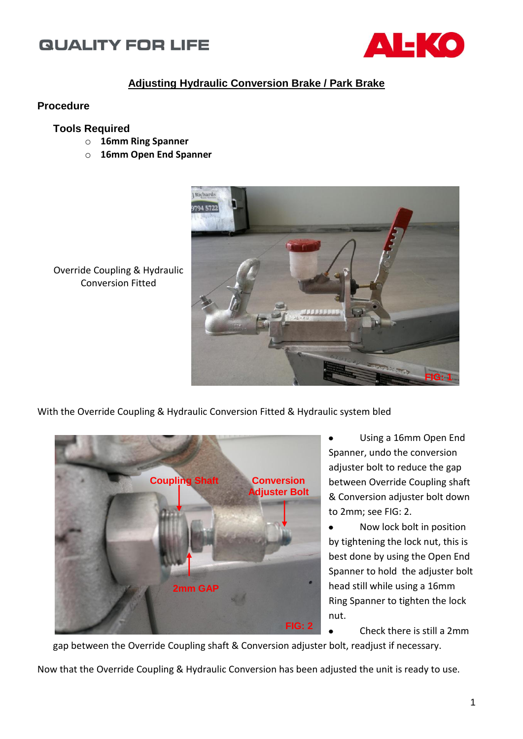## **QUALITY FOR LIFE**



### **Adjusting Hydraulic Conversion Brake / Park Brake**

#### **Procedure**

#### **Tools Required**

- o **16mm Ring Spanner**
- o **16mm Open End Spanner**



Override Coupling & Hydraulic Conversion Fitted

With the Override Coupling & Hydraulic Conversion Fitted & Hydraulic system bled



Using a 16mm Open End Spanner, undo the conversion adjuster bolt to reduce the gap between Override Coupling shaft & Conversion adjuster bolt down to 2mm; see FIG: 2.

Now lock bolt in position  $\bullet$ by tightening the lock nut, this is best done by using the Open End Spanner to hold the adjuster bolt head still while using a 16mm Ring Spanner to tighten the lock nut.

Check there is still a 2mm

gap between the Override Coupling shaft & Conversion adjuster bolt, readjust if necessary.

Now that the Override Coupling & Hydraulic Conversion has been adjusted the unit is ready to use.